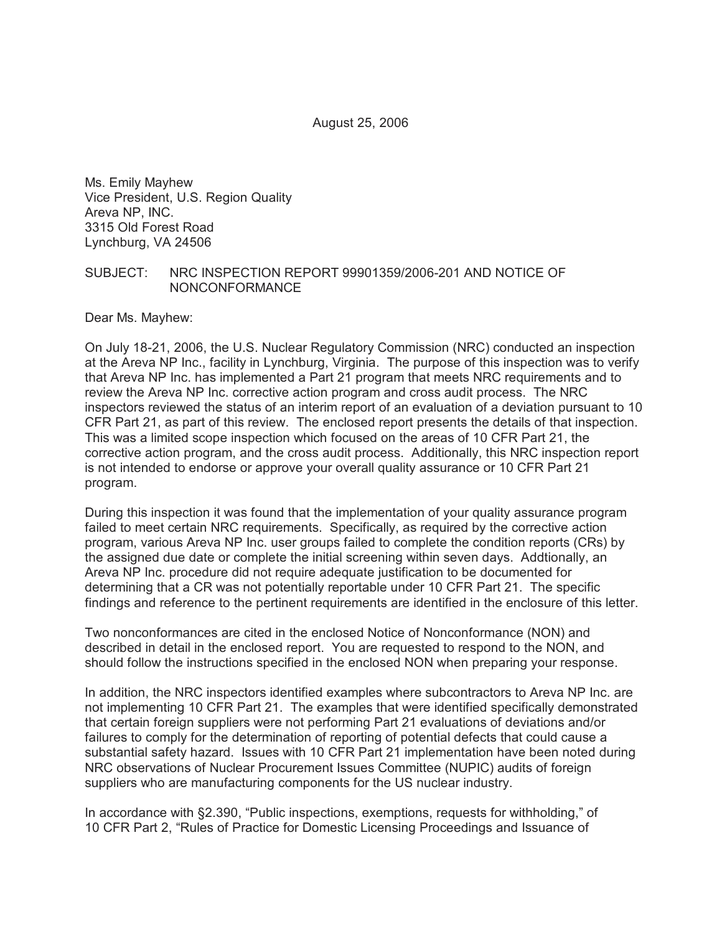August 25, 2006

Ms. Emily Mayhew Vice President, U.S. Region Quality Areva NP, INC. 3315 Old Forest Road Lynchburg, VA 24506

#### SUBJECT: NRC INSPECTION REPORT 99901359/2006-201 AND NOTICE OF NONCONFORMANCE

Dear Ms. Mayhew:

On July 18-21, 2006, the U.S. Nuclear Regulatory Commission (NRC) conducted an inspection at the Areva NP Inc., facility in Lynchburg, Virginia. The purpose of this inspection was to verify that Areva NP Inc. has implemented a Part 21 program that meets NRC requirements and to review the Areva NP Inc. corrective action program and cross audit process. The NRC inspectors reviewed the status of an interim report of an evaluation of a deviation pursuant to 10 CFR Part 21, as part of this review. The enclosed report presents the details of that inspection. This was a limited scope inspection which focused on the areas of 10 CFR Part 21, the corrective action program, and the cross audit process. Additionally, this NRC inspection report is not intended to endorse or approve your overall quality assurance or 10 CFR Part 21 program.

During this inspection it was found that the implementation of your quality assurance program failed to meet certain NRC requirements. Specifically, as required by the corrective action program, various Areva NP Inc. user groups failed to complete the condition reports (CRs) by the assigned due date or complete the initial screening within seven days. Addtionally, an Areva NP Inc. procedure did not require adequate justification to be documented for determining that a CR was not potentially reportable under 10 CFR Part 21. The specific findings and reference to the pertinent requirements are identified in the enclosure of this letter.

Two nonconformances are cited in the enclosed Notice of Nonconformance (NON) and described in detail in the enclosed report. You are requested to respond to the NON, and should follow the instructions specified in the enclosed NON when preparing your response.

In addition, the NRC inspectors identified examples where subcontractors to Areva NP Inc. are not implementing 10 CFR Part 21. The examples that were identified specifically demonstrated that certain foreign suppliers were not performing Part 21 evaluations of deviations and/or failures to comply for the determination of reporting of potential defects that could cause a substantial safety hazard. Issues with 10 CFR Part 21 implementation have been noted during NRC observations of Nuclear Procurement Issues Committee (NUPIC) audits of foreign suppliers who are manufacturing components for the US nuclear industry.

In accordance with §2.390, "Public inspections, exemptions, requests for withholding," of 10 CFR Part 2, "Rules of Practice for Domestic Licensing Proceedings and Issuance of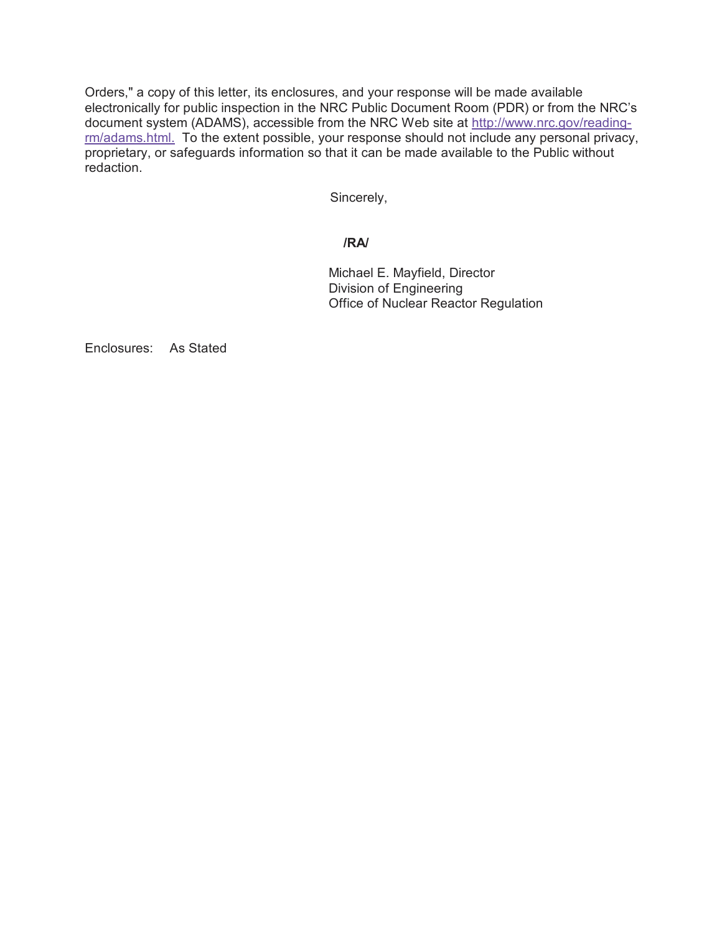Orders," a copy of this letter, its enclosures, and your response will be made available electronically for public inspection in the NRC Public Document Room (PDR) or from the NRC's document system (ADAMS), accessible from the NRC Web site at http://www.nrc.gov/readingrm/adams.html. To the extent possible, your response should not include any personal privacy, proprietary, or safeguards information so that it can be made available to the Public without redaction.

Sincerely,

### **/RA/**

Michael E. Mayfield, Director Division of Engineering Office of Nuclear Reactor Regulation

Enclosures: As Stated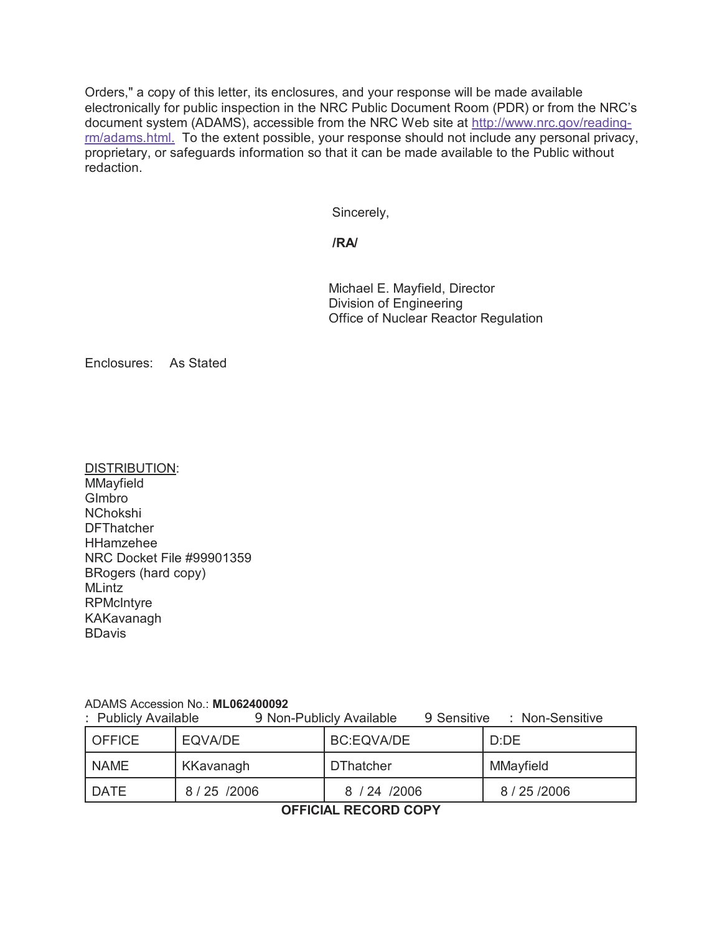Orders," a copy of this letter, its enclosures, and your response will be made available electronically for public inspection in the NRC Public Document Room (PDR) or from the NRC's document system (ADAMS), accessible from the NRC Web site at http://www.nrc.gov/readingrm/adams.html. To the extent possible, your response should not include any personal privacy, proprietary, or safeguards information so that it can be made available to the Public without redaction.

Sincerely,

**/RA/**

Michael E. Mayfield, Director Division of Engineering Office of Nuclear Reactor Regulation

Enclosures: As Stated

DISTRIBUTION: **MMayfield** GImbro NChokshi **DFThatcher** HHamzehee NRC Docket File #99901359 BRogers (hard copy) **MLintz RPMcIntyre** KAKavanagh **BDavis** 

### ADAMS Accession No.: **ML062400092**

: Publicly Available 9 Non-Publicly Available 9 Sensitive : Non-Sensitive

| <b>OFFICE</b> | EQVA/DE   | BC:EQVA/DE       | D:DE          |
|---------------|-----------|------------------|---------------|
| <b>NAME</b>   | KKavanagh | <b>DThatcher</b> | MMayfield     |
| I DATE        | 8/25/2006 | 8 / 24 / 2006    | 8 / 25 / 2006 |

**OFFICIAL RECORD COPY**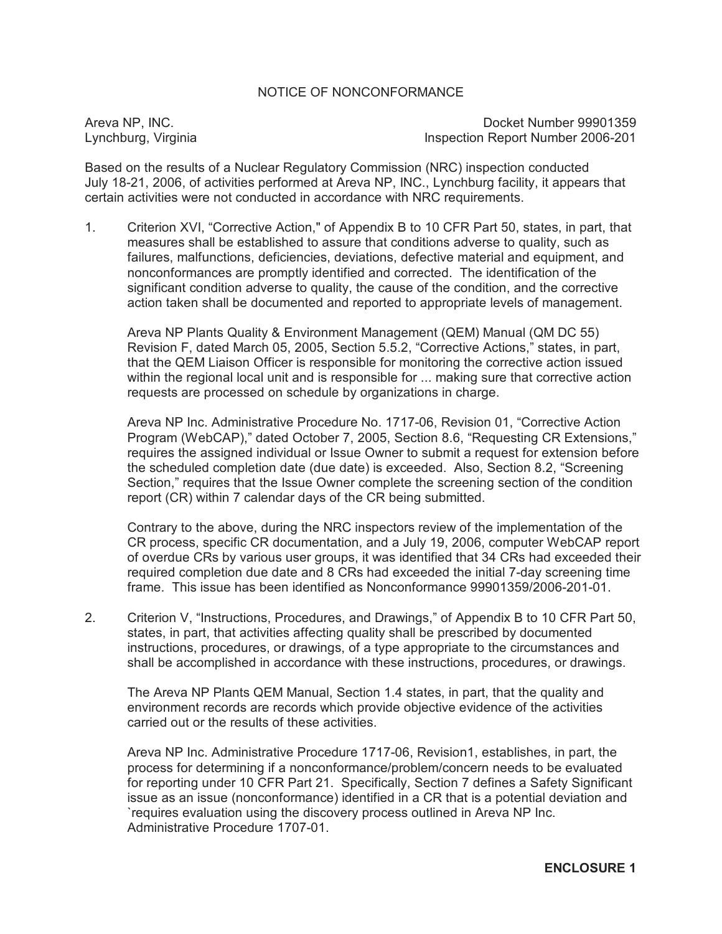### NOTICE OF NONCONFORMANCE

Areva NP, INC. **Docket Number 99901359** Lynchburg, Virginia **Inspection Report Number 2006-201** 

Based on the results of a Nuclear Regulatory Commission (NRC) inspection conducted July 18-21, 2006, of activities performed at Areva NP, INC., Lynchburg facility, it appears that certain activities were not conducted in accordance with NRC requirements.

1. Criterion XVI, "Corrective Action," of Appendix B to 10 CFR Part 50, states, in part, that measures shall be established to assure that conditions adverse to quality, such as failures, malfunctions, deficiencies, deviations, defective material and equipment, and nonconformances are promptly identified and corrected. The identification of the significant condition adverse to quality, the cause of the condition, and the corrective action taken shall be documented and reported to appropriate levels of management.

Areva NP Plants Quality & Environment Management (QEM) Manual (QM DC 55) Revision F, dated March 05, 2005, Section 5.5.2, "Corrective Actions," states, in part, that the QEM Liaison Officer is responsible for monitoring the corrective action issued within the regional local unit and is responsible for ... making sure that corrective action requests are processed on schedule by organizations in charge.

Areva NP Inc. Administrative Procedure No. 1717-06, Revision 01, "Corrective Action Program (WebCAP)," dated October 7, 2005, Section 8.6, "Requesting CR Extensions," requires the assigned individual or Issue Owner to submit a request for extension before the scheduled completion date (due date) is exceeded. Also, Section 8.2, "Screening Section," requires that the Issue Owner complete the screening section of the condition report (CR) within 7 calendar days of the CR being submitted.

Contrary to the above, during the NRC inspectors review of the implementation of the CR process, specific CR documentation, and a July 19, 2006, computer WebCAP report of overdue CRs by various user groups, it was identified that 34 CRs had exceeded their required completion due date and 8 CRs had exceeded the initial 7-day screening time frame. This issue has been identified as Nonconformance 99901359/2006-201-01.

2. Criterion V, "Instructions, Procedures, and Drawings," of Appendix B to 10 CFR Part 50, states, in part, that activities affecting quality shall be prescribed by documented instructions, procedures, or drawings, of a type appropriate to the circumstances and shall be accomplished in accordance with these instructions, procedures, or drawings.

The Areva NP Plants QEM Manual, Section 1.4 states, in part, that the quality and environment records are records which provide objective evidence of the activities carried out or the results of these activities.

Areva NP Inc. Administrative Procedure 1717-06, Revision1, establishes, in part, the process for determining if a nonconformance/problem/concern needs to be evaluated for reporting under 10 CFR Part 21. Specifically, Section 7 defines a Safety Significant issue as an issue (nonconformance) identified in a CR that is a potential deviation and `requires evaluation using the discovery process outlined in Areva NP Inc. Administrative Procedure 1707-01.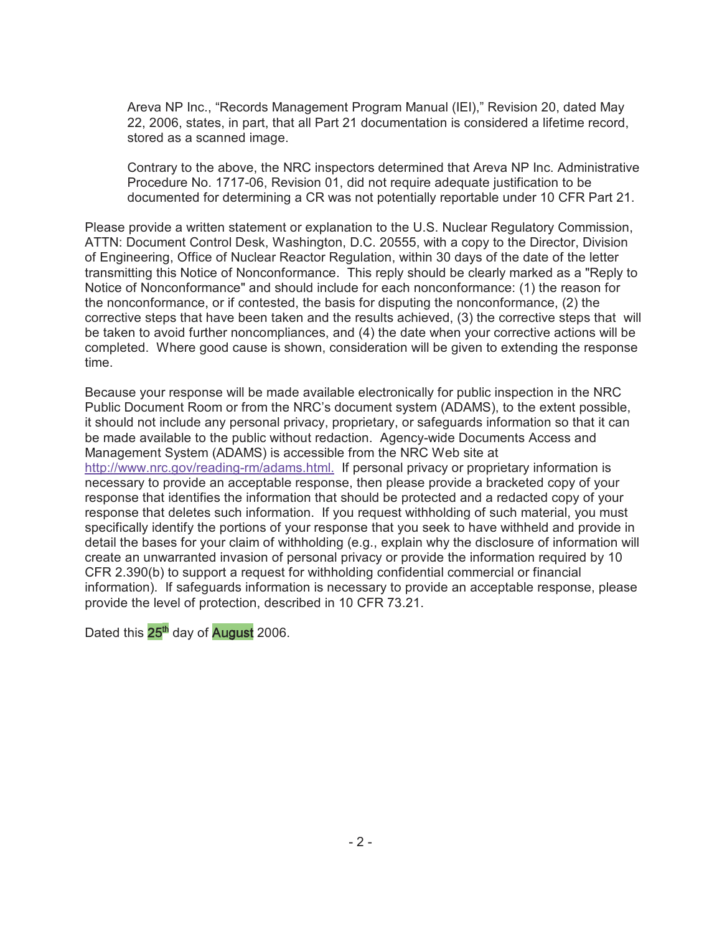Areva NP Inc., "Records Management Program Manual (IEI)," Revision 20, dated May 22, 2006, states, in part, that all Part 21 documentation is considered a lifetime record, stored as a scanned image.

Contrary to the above, the NRC inspectors determined that Areva NP Inc. Administrative Procedure No. 1717-06, Revision 01, did not require adequate justification to be documented for determining a CR was not potentially reportable under 10 CFR Part 21.

Please provide a written statement or explanation to the U.S. Nuclear Regulatory Commission, ATTN: Document Control Desk, Washington, D.C. 20555, with a copy to the Director, Division of Engineering, Office of Nuclear Reactor Regulation, within 30 days of the date of the letter transmitting this Notice of Nonconformance. This reply should be clearly marked as a "Reply to Notice of Nonconformance" and should include for each nonconformance: (1) the reason for the nonconformance, or if contested, the basis for disputing the nonconformance, (2) the corrective steps that have been taken and the results achieved, (3) the corrective steps that will be taken to avoid further noncompliances, and (4) the date when your corrective actions will be completed. Where good cause is shown, consideration will be given to extending the response time.

Because your response will be made available electronically for public inspection in the NRC Public Document Room or from the NRC's document system (ADAMS), to the extent possible, it should not include any personal privacy, proprietary, or safeguards information so that it can be made available to the public without redaction. Agency-wide Documents Access and Management System (ADAMS) is accessible from the NRC Web site at http://www.nrc.gov/reading-rm/adams.html. If personal privacy or proprietary information is necessary to provide an acceptable response, then please provide a bracketed copy of your response that identifies the information that should be protected and a redacted copy of your response that deletes such information. If you request withholding of such material, you must specifically identify the portions of your response that you seek to have withheld and provide in detail the bases for your claim of withholding (e.g., explain why the disclosure of information will create an unwarranted invasion of personal privacy or provide the information required by 10 CFR 2.390(b) to support a request for withholding confidential commercial or financial information). If safeguards information is necessary to provide an acceptable response, please provide the level of protection, described in 10 CFR 73.21.

Dated this 25<sup>th</sup> day of **August** 2006.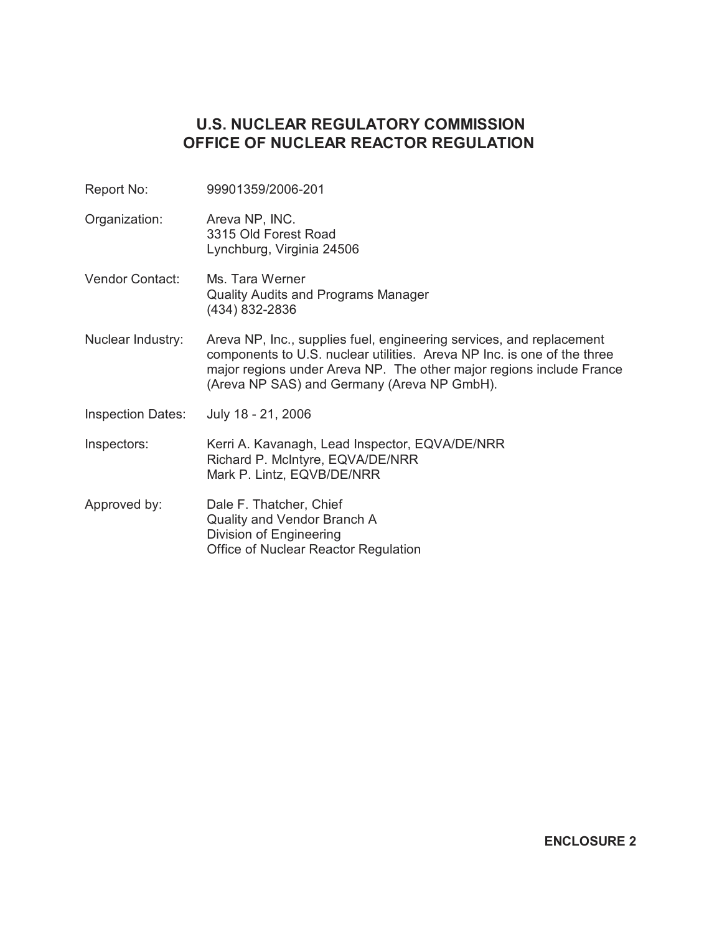# **U.S. NUCLEAR REGULATORY COMMISSION OFFICE OF NUCLEAR REACTOR REGULATION**

- Report No: 99901359/2006-201
- Organization: Areva NP, INC. 3315 Old Forest Road Lynchburg, Virginia 24506
- Vendor Contact: Ms. Tara Werner Quality Audits and Programs Manager (434) 832-2836
- Nuclear Industry: Areva NP, Inc., supplies fuel, engineering services, and replacement components to U.S. nuclear utilities. Areva NP Inc. is one of the three major regions under Areva NP. The other major regions include France (Areva NP SAS) and Germany (Areva NP GmbH).
- Inspection Dates: July 18 21, 2006

Inspectors: Kerri A. Kavanagh, Lead Inspector, EQVA/DE/NRR Richard P. McIntyre, EQVA/DE/NRR Mark P. Lintz, EQVB/DE/NRR

Approved by: Dale F. Thatcher, Chief Quality and Vendor Branch A Division of Engineering Office of Nuclear Reactor Regulation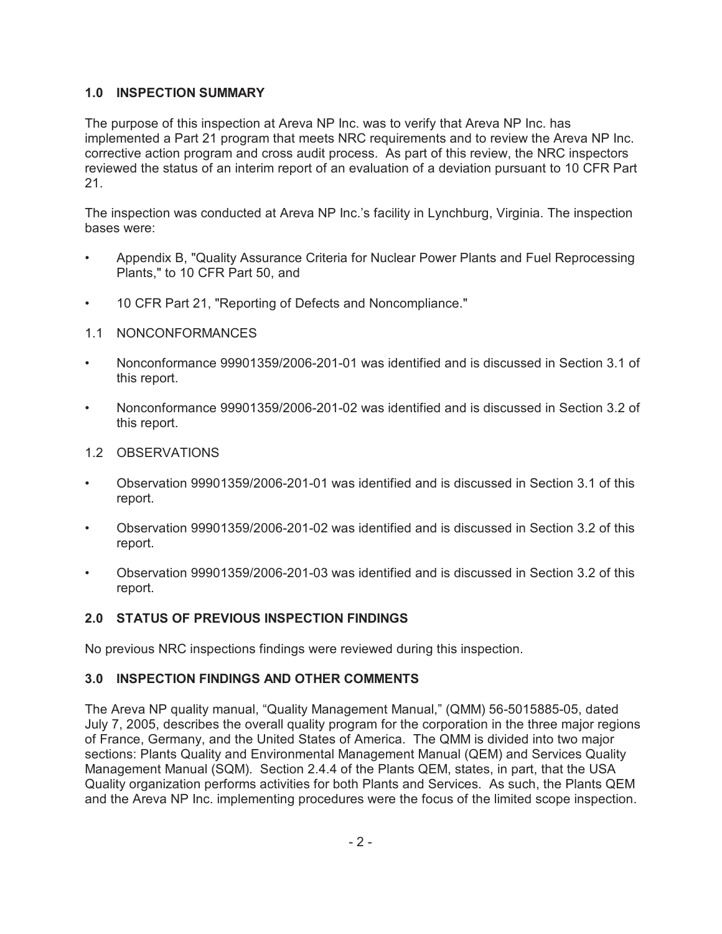# **1.0 INSPECTION SUMMARY**

The purpose of this inspection at Areva NP Inc. was to verify that Areva NP Inc. has implemented a Part 21 program that meets NRC requirements and to review the Areva NP Inc. corrective action program and cross audit process. As part of this review, the NRC inspectors reviewed the status of an interim report of an evaluation of a deviation pursuant to 10 CFR Part 21.

The inspection was conducted at Areva NP Inc.'s facility in Lynchburg, Virginia. The inspection bases were:

- Appendix B, "Quality Assurance Criteria for Nuclear Power Plants and Fuel Reprocessing Plants," to 10 CFR Part 50, and
- 10 CFR Part 21, "Reporting of Defects and Noncompliance."
- 1.1 NONCONFORMANCES
- Nonconformance 99901359/2006-201-01 was identified and is discussed in Section 3.1 of this report.
- Nonconformance 99901359/2006-201-02 was identified and is discussed in Section 3.2 of this report.
- 1.2 OBSERVATIONS
- Observation 99901359/2006-201-01 was identified and is discussed in Section 3.1 of this report.
- Observation 99901359/2006-201-02 was identified and is discussed in Section 3.2 of this report.
- Observation 99901359/2006-201-03 was identified and is discussed in Section 3.2 of this report.

# **2.0 STATUS OF PREVIOUS INSPECTION FINDINGS**

No previous NRC inspections findings were reviewed during this inspection.

# **3.0 INSPECTION FINDINGS AND OTHER COMMENTS**

The Areva NP quality manual, "Quality Management Manual," (QMM) 56-5015885-05, dated July 7, 2005, describes the overall quality program for the corporation in the three major regions of France, Germany, and the United States of America. The QMM is divided into two major sections: Plants Quality and Environmental Management Manual (QEM) and Services Quality Management Manual (SQM). Section 2.4.4 of the Plants QEM, states, in part, that the USA Quality organization performs activities for both Plants and Services. As such, the Plants QEM and the Areva NP Inc. implementing procedures were the focus of the limited scope inspection.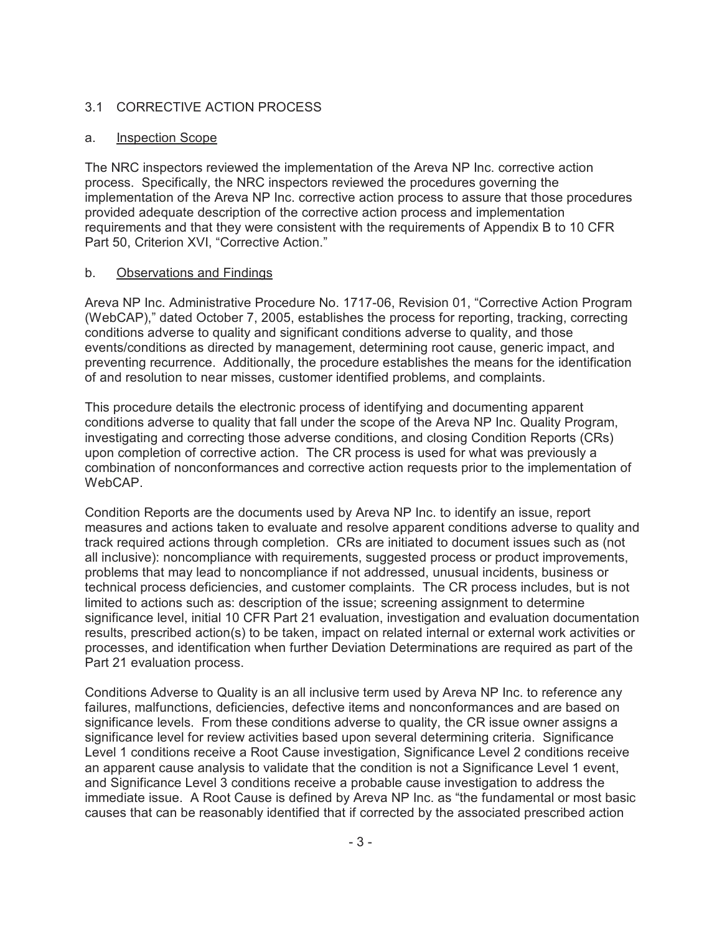### 3.1 CORRECTIVE ACTION PROCESS

#### a. Inspection Scope

The NRC inspectors reviewed the implementation of the Areva NP Inc. corrective action process. Specifically, the NRC inspectors reviewed the procedures governing the implementation of the Areva NP Inc. corrective action process to assure that those procedures provided adequate description of the corrective action process and implementation requirements and that they were consistent with the requirements of Appendix B to 10 CFR Part 50, Criterion XVI, "Corrective Action."

#### b. Observations and Findings

Areva NP Inc. Administrative Procedure No. 1717-06, Revision 01, "Corrective Action Program (WebCAP)," dated October 7, 2005, establishes the process for reporting, tracking, correcting conditions adverse to quality and significant conditions adverse to quality, and those events/conditions as directed by management, determining root cause, generic impact, and preventing recurrence. Additionally, the procedure establishes the means for the identification of and resolution to near misses, customer identified problems, and complaints.

This procedure details the electronic process of identifying and documenting apparent conditions adverse to quality that fall under the scope of the Areva NP Inc. Quality Program, investigating and correcting those adverse conditions, and closing Condition Reports (CRs) upon completion of corrective action. The CR process is used for what was previously a combination of nonconformances and corrective action requests prior to the implementation of WebCAP.

Condition Reports are the documents used by Areva NP Inc. to identify an issue, report measures and actions taken to evaluate and resolve apparent conditions adverse to quality and track required actions through completion. CRs are initiated to document issues such as (not all inclusive): noncompliance with requirements, suggested process or product improvements, problems that may lead to noncompliance if not addressed, unusual incidents, business or technical process deficiencies, and customer complaints. The CR process includes, but is not limited to actions such as: description of the issue; screening assignment to determine significance level, initial 10 CFR Part 21 evaluation, investigation and evaluation documentation results, prescribed action(s) to be taken, impact on related internal or external work activities or processes, and identification when further Deviation Determinations are required as part of the Part 21 evaluation process.

Conditions Adverse to Quality is an all inclusive term used by Areva NP Inc. to reference any failures, malfunctions, deficiencies, defective items and nonconformances and are based on significance levels. From these conditions adverse to quality, the CR issue owner assigns a significance level for review activities based upon several determining criteria. Significance Level 1 conditions receive a Root Cause investigation, Significance Level 2 conditions receive an apparent cause analysis to validate that the condition is not a Significance Level 1 event, and Significance Level 3 conditions receive a probable cause investigation to address the immediate issue. A Root Cause is defined by Areva NP Inc. as "the fundamental or most basic causes that can be reasonably identified that if corrected by the associated prescribed action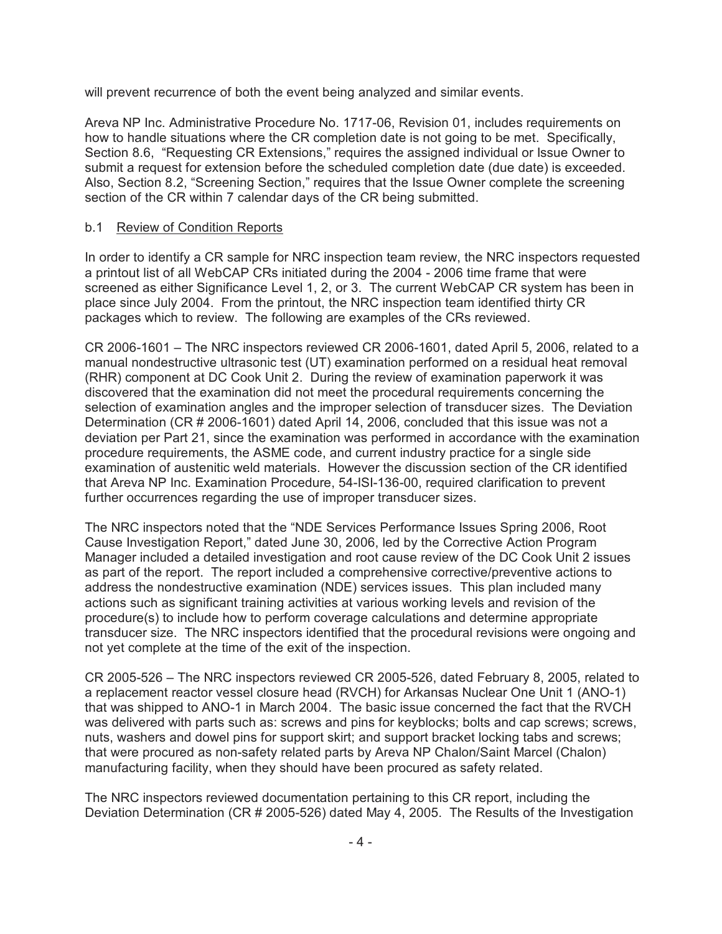will prevent recurrence of both the event being analyzed and similar events.

Areva NP Inc. Administrative Procedure No. 1717-06, Revision 01, includes requirements on how to handle situations where the CR completion date is not going to be met. Specifically, Section 8.6, "Requesting CR Extensions," requires the assigned individual or Issue Owner to submit a request for extension before the scheduled completion date (due date) is exceeded. Also, Section 8.2, "Screening Section," requires that the Issue Owner complete the screening section of the CR within 7 calendar days of the CR being submitted.

### b.1 Review of Condition Reports

In order to identify a CR sample for NRC inspection team review, the NRC inspectors requested a printout list of all WebCAP CRs initiated during the 2004 - 2006 time frame that were screened as either Significance Level 1, 2, or 3. The current WebCAP CR system has been in place since July 2004. From the printout, the NRC inspection team identified thirty CR packages which to review. The following are examples of the CRs reviewed.

CR 2006-1601 – The NRC inspectors reviewed CR 2006-1601, dated April 5, 2006, related to a manual nondestructive ultrasonic test (UT) examination performed on a residual heat removal (RHR) component at DC Cook Unit 2. During the review of examination paperwork it was discovered that the examination did not meet the procedural requirements concerning the selection of examination angles and the improper selection of transducer sizes. The Deviation Determination (CR # 2006-1601) dated April 14, 2006, concluded that this issue was not a deviation per Part 21, since the examination was performed in accordance with the examination procedure requirements, the ASME code, and current industry practice for a single side examination of austenitic weld materials. However the discussion section of the CR identified that Areva NP Inc. Examination Procedure, 54-ISI-136-00, required clarification to prevent further occurrences regarding the use of improper transducer sizes.

The NRC inspectors noted that the "NDE Services Performance Issues Spring 2006, Root Cause Investigation Report," dated June 30, 2006, led by the Corrective Action Program Manager included a detailed investigation and root cause review of the DC Cook Unit 2 issues as part of the report. The report included a comprehensive corrective/preventive actions to address the nondestructive examination (NDE) services issues. This plan included many actions such as significant training activities at various working levels and revision of the procedure(s) to include how to perform coverage calculations and determine appropriate transducer size. The NRC inspectors identified that the procedural revisions were ongoing and not yet complete at the time of the exit of the inspection.

CR 2005-526 – The NRC inspectors reviewed CR 2005-526, dated February 8, 2005, related to a replacement reactor vessel closure head (RVCH) for Arkansas Nuclear One Unit 1 (ANO-1) that was shipped to ANO-1 in March 2004. The basic issue concerned the fact that the RVCH was delivered with parts such as: screws and pins for keyblocks; bolts and cap screws; screws, nuts, washers and dowel pins for support skirt; and support bracket locking tabs and screws; that were procured as non-safety related parts by Areva NP Chalon/Saint Marcel (Chalon) manufacturing facility, when they should have been procured as safety related.

The NRC inspectors reviewed documentation pertaining to this CR report, including the Deviation Determination (CR # 2005-526) dated May 4, 2005. The Results of the Investigation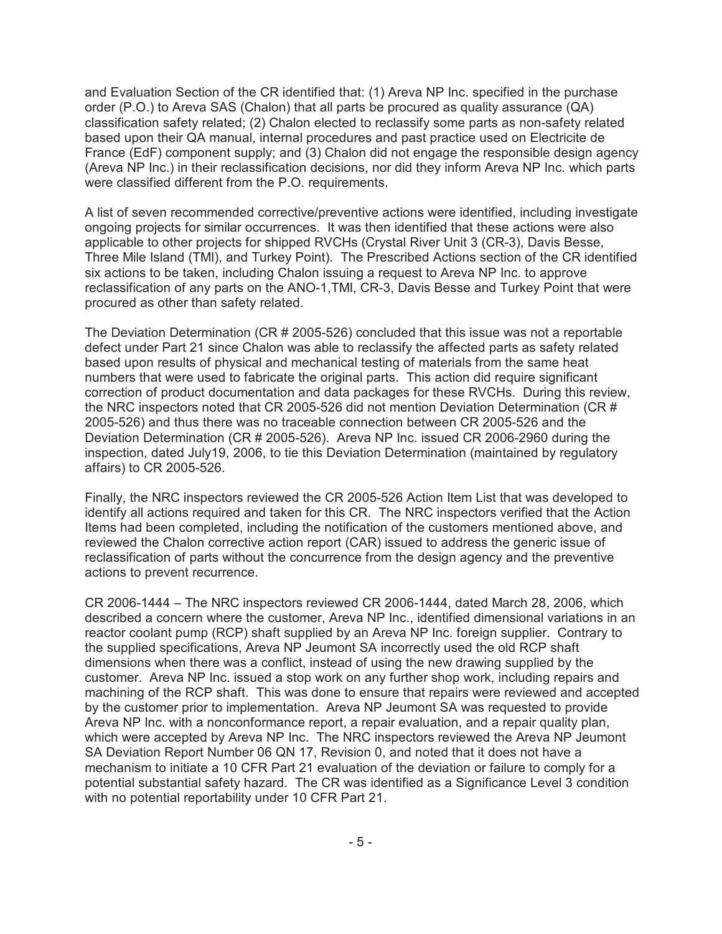and Evaluation Section of the CR identified that: (1) Areva NP Inc. specified in the purchase order (P.O.) to Areva SAS (Chalon) that all parts be procured as quality assurance (QA) classification safety related; (2) Chalon elected to reclassify some parts as non-safety related based upon their QA manual, internal procedures and past practice used on Electricite de France (EdF) component supply; and (3) Chalon did not engage the responsible design agency (Areva NP Inc.) in their reclassification decisions, nor did they inform Areva NP Inc. which parts were classified different from the P.O. requirements.

A list of seven recommended corrective/preventive actions were identified, including investigate ongoing projects for similar occurrences. It was then identified that these actions were also applicable to other projects for shipped RVCHs (Crystal River Unit 3 (CR-3), Davis Besse, Three Mile Island (TMI), and Turkey Point). The Prescribed Actions section of the CR identified six actions to be taken, including Chalon issuing a request to Areva NP Inc. to approve reclassification of any parts on the ANO-1,TMI, CR-3, Davis Besse and Turkey Point that were procured as other than safety related.

The Deviation Determination (CR # 2005-526) concluded that this issue was not a reportable defect under Part 21 since Chalon was able to reclassify the affected parts as safety related based upon results of physical and mechanical testing of materials from the same heat numbers that were used to fabricate the original parts. This action did require significant correction of product documentation and data packages for these RVCHs. During this review, the NRC inspectors noted that CR 2005-526 did not mention Deviation Determination (CR # 2005-526) and thus there was no traceable connection between CR 2005-526 and the Deviation Determination (CR # 2005-526). Areva NP Inc. issued CR 2006-2960 during the inspection, dated July19, 2006, to tie this Deviation Determination (maintained by regulatory affairs) to CR 2005-526.

Finally, the NRC inspectors reviewed the CR 2005-526 Action Item List that was developed to identify all actions required and taken for this CR. The NRC inspectors verified that the Action Items had been completed, including the notification of the customers mentioned above, and reviewed the Chalon corrective action report (CAR) issued to address the generic issue of reclassification of parts without the concurrence from the design agency and the preventive actions to prevent recurrence.

CR 2006-1444 – The NRC inspectors reviewed CR 2006-1444, dated March 28, 2006, which described a concern where the customer, Areva NP Inc., identified dimensional variations in an reactor coolant pump (RCP) shaft supplied by an Areva NP Inc. foreign supplier. Contrary to the supplied specifications, Areva NP Jeumont SA incorrectly used the old RCP shaft dimensions when there was a conflict, instead of using the new drawing supplied by the customer. Areva NP Inc. issued a stop work on any further shop work, including repairs and machining of the RCP shaft. This was done to ensure that repairs were reviewed and accepted by the customer prior to implementation. Areva NP Jeumont SA was requested to provide Areva NP Inc. with a nonconformance report, a repair evaluation, and a repair quality plan, which were accepted by Areva NP Inc. The NRC inspectors reviewed the Areva NP Jeumont SA Deviation Report Number 06 QN 17, Revision 0, and noted that it does not have a mechanism to initiate a 10 CFR Part 21 evaluation of the deviation or failure to comply for a potential substantial safety hazard. The CR was identified as a Significance Level 3 condition with no potential reportability under 10 CFR Part 21.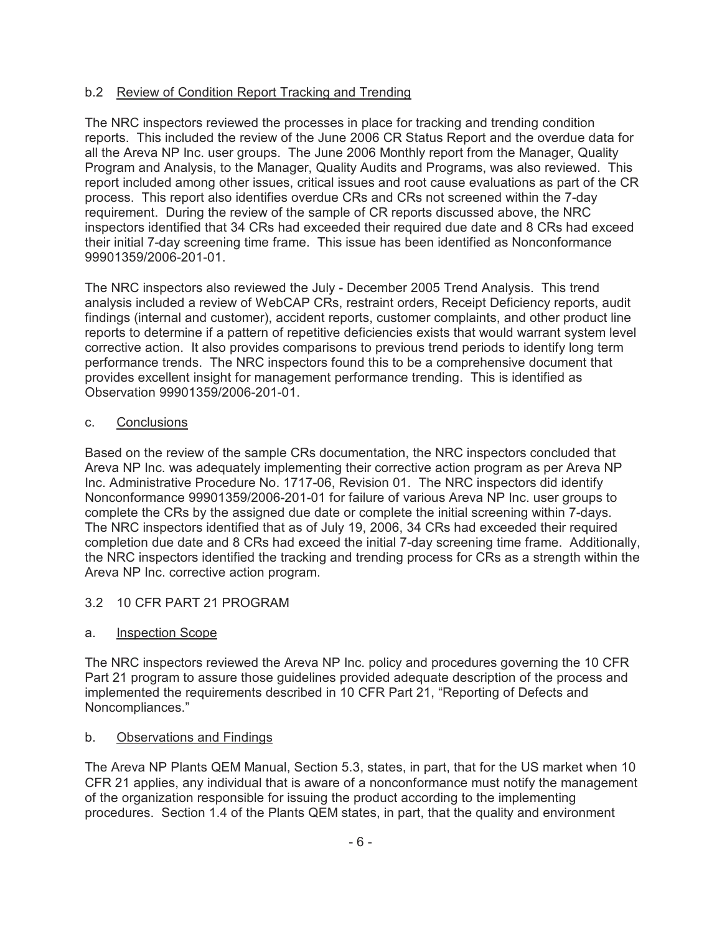### b.2 Review of Condition Report Tracking and Trending

The NRC inspectors reviewed the processes in place for tracking and trending condition reports. This included the review of the June 2006 CR Status Report and the overdue data for all the Areva NP Inc. user groups. The June 2006 Monthly report from the Manager, Quality Program and Analysis, to the Manager, Quality Audits and Programs, was also reviewed. This report included among other issues, critical issues and root cause evaluations as part of the CR process. This report also identifies overdue CRs and CRs not screened within the 7-day requirement. During the review of the sample of CR reports discussed above, the NRC inspectors identified that 34 CRs had exceeded their required due date and 8 CRs had exceed their initial 7-day screening time frame. This issue has been identified as Nonconformance 99901359/2006-201-01.

The NRC inspectors also reviewed the July - December 2005 Trend Analysis. This trend analysis included a review of WebCAP CRs, restraint orders, Receipt Deficiency reports, audit findings (internal and customer), accident reports, customer complaints, and other product line reports to determine if a pattern of repetitive deficiencies exists that would warrant system level corrective action. It also provides comparisons to previous trend periods to identify long term performance trends. The NRC inspectors found this to be a comprehensive document that provides excellent insight for management performance trending. This is identified as Observation 99901359/2006-201-01.

#### c. Conclusions

Based on the review of the sample CRs documentation, the NRC inspectors concluded that Areva NP Inc. was adequately implementing their corrective action program as per Areva NP Inc. Administrative Procedure No. 1717-06, Revision 01. The NRC inspectors did identify Nonconformance 99901359/2006-201-01 for failure of various Areva NP Inc. user groups to complete the CRs by the assigned due date or complete the initial screening within 7-days. The NRC inspectors identified that as of July 19, 2006, 34 CRs had exceeded their required completion due date and 8 CRs had exceed the initial 7-day screening time frame. Additionally, the NRC inspectors identified the tracking and trending process for CRs as a strength within the Areva NP Inc. corrective action program.

### 3.2 10 CFR PART 21 PROGRAM

### a. Inspection Scope

The NRC inspectors reviewed the Areva NP Inc. policy and procedures governing the 10 CFR Part 21 program to assure those guidelines provided adequate description of the process and implemented the requirements described in 10 CFR Part 21, "Reporting of Defects and Noncompliances."

### b. Observations and Findings

The Areva NP Plants QEM Manual, Section 5.3, states, in part, that for the US market when 10 CFR 21 applies, any individual that is aware of a nonconformance must notify the management of the organization responsible for issuing the product according to the implementing procedures. Section 1.4 of the Plants QEM states, in part, that the quality and environment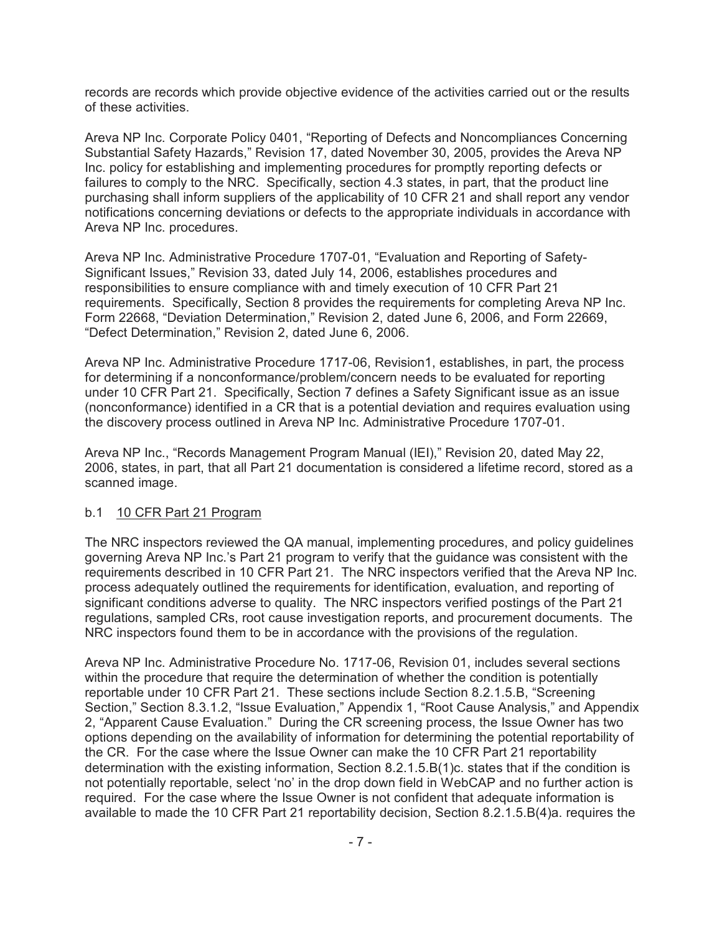records are records which provide objective evidence of the activities carried out or the results of these activities.

Areva NP Inc. Corporate Policy 0401, "Reporting of Defects and Noncompliances Concerning Substantial Safety Hazards," Revision 17, dated November 30, 2005, provides the Areva NP Inc. policy for establishing and implementing procedures for promptly reporting defects or failures to comply to the NRC. Specifically, section 4.3 states, in part, that the product line purchasing shall inform suppliers of the applicability of 10 CFR 21 and shall report any vendor notifications concerning deviations or defects to the appropriate individuals in accordance with Areva NP Inc. procedures.

Areva NP Inc. Administrative Procedure 1707-01, "Evaluation and Reporting of Safety-Significant Issues," Revision 33, dated July 14, 2006, establishes procedures and responsibilities to ensure compliance with and timely execution of 10 CFR Part 21 requirements. Specifically, Section 8 provides the requirements for completing Areva NP Inc. Form 22668, "Deviation Determination," Revision 2, dated June 6, 2006, and Form 22669, "Defect Determination," Revision 2, dated June 6, 2006.

Areva NP Inc. Administrative Procedure 1717-06, Revision1, establishes, in part, the process for determining if a nonconformance/problem/concern needs to be evaluated for reporting under 10 CFR Part 21. Specifically, Section 7 defines a Safety Significant issue as an issue (nonconformance) identified in a CR that is a potential deviation and requires evaluation using the discovery process outlined in Areva NP Inc. Administrative Procedure 1707-01.

Areva NP Inc., "Records Management Program Manual (IEI)," Revision 20, dated May 22, 2006, states, in part, that all Part 21 documentation is considered a lifetime record, stored as a scanned image.

### b.1 10 CFR Part 21 Program

The NRC inspectors reviewed the QA manual, implementing procedures, and policy guidelines governing Areva NP Inc.'s Part 21 program to verify that the guidance was consistent with the requirements described in 10 CFR Part 21. The NRC inspectors verified that the Areva NP Inc. process adequately outlined the requirements for identification, evaluation, and reporting of significant conditions adverse to quality. The NRC inspectors verified postings of the Part 21 regulations, sampled CRs, root cause investigation reports, and procurement documents. The NRC inspectors found them to be in accordance with the provisions of the regulation.

Areva NP Inc. Administrative Procedure No. 1717-06, Revision 01, includes several sections within the procedure that require the determination of whether the condition is potentially reportable under 10 CFR Part 21. These sections include Section 8.2.1.5.B, "Screening Section," Section 8.3.1.2, "Issue Evaluation," Appendix 1, "Root Cause Analysis," and Appendix 2, "Apparent Cause Evaluation." During the CR screening process, the Issue Owner has two options depending on the availability of information for determining the potential reportability of the CR. For the case where the Issue Owner can make the 10 CFR Part 21 reportability determination with the existing information, Section 8.2.1.5.B(1)c. states that if the condition is not potentially reportable, select 'no' in the drop down field in WebCAP and no further action is required. For the case where the Issue Owner is not confident that adequate information is available to made the 10 CFR Part 21 reportability decision, Section 8.2.1.5.B(4)a. requires the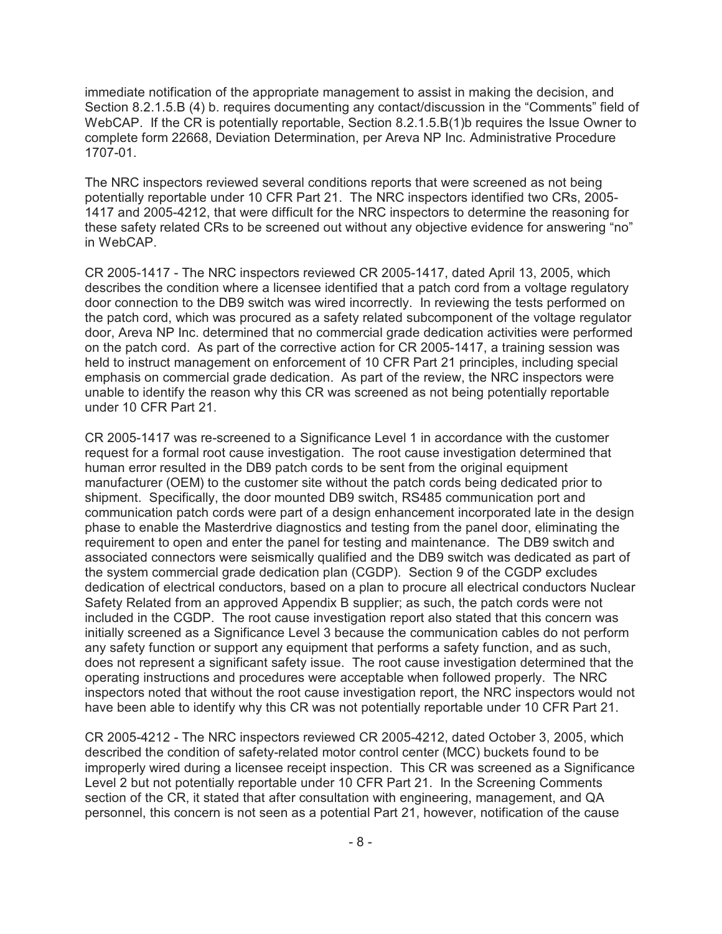immediate notification of the appropriate management to assist in making the decision, and Section 8.2.1.5.B (4) b. requires documenting any contact/discussion in the "Comments" field of WebCAP. If the CR is potentially reportable, Section 8.2.1.5. B(1)b requires the Issue Owner to complete form 22668, Deviation Determination, per Areva NP Inc. Administrative Procedure 1707-01.

The NRC inspectors reviewed several conditions reports that were screened as not being potentially reportable under 10 CFR Part 21. The NRC inspectors identified two CRs, 2005- 1417 and 2005-4212, that were difficult for the NRC inspectors to determine the reasoning for these safety related CRs to be screened out without any objective evidence for answering "no" in WebCAP.

CR 2005-1417 - The NRC inspectors reviewed CR 2005-1417, dated April 13, 2005, which describes the condition where a licensee identified that a patch cord from a voltage regulatory door connection to the DB9 switch was wired incorrectly. In reviewing the tests performed on the patch cord, which was procured as a safety related subcomponent of the voltage regulator door, Areva NP Inc. determined that no commercial grade dedication activities were performed on the patch cord. As part of the corrective action for CR 2005-1417, a training session was held to instruct management on enforcement of 10 CFR Part 21 principles, including special emphasis on commercial grade dedication. As part of the review, the NRC inspectors were unable to identify the reason why this CR was screened as not being potentially reportable under 10 CFR Part 21.

CR 2005-1417 was re-screened to a Significance Level 1 in accordance with the customer request for a formal root cause investigation. The root cause investigation determined that human error resulted in the DB9 patch cords to be sent from the original equipment manufacturer (OEM) to the customer site without the patch cords being dedicated prior to shipment. Specifically, the door mounted DB9 switch, RS485 communication port and communication patch cords were part of a design enhancement incorporated late in the design phase to enable the Masterdrive diagnostics and testing from the panel door, eliminating the requirement to open and enter the panel for testing and maintenance. The DB9 switch and associated connectors were seismically qualified and the DB9 switch was dedicated as part of the system commercial grade dedication plan (CGDP). Section 9 of the CGDP excludes dedication of electrical conductors, based on a plan to procure all electrical conductors Nuclear Safety Related from an approved Appendix B supplier; as such, the patch cords were not included in the CGDP. The root cause investigation report also stated that this concern was initially screened as a Significance Level 3 because the communication cables do not perform any safety function or support any equipment that performs a safety function, and as such, does not represent a significant safety issue. The root cause investigation determined that the operating instructions and procedures were acceptable when followed properly. The NRC inspectors noted that without the root cause investigation report, the NRC inspectors would not have been able to identify why this CR was not potentially reportable under 10 CFR Part 21.

CR 2005-4212 - The NRC inspectors reviewed CR 2005-4212, dated October 3, 2005, which described the condition of safety-related motor control center (MCC) buckets found to be improperly wired during a licensee receipt inspection. This CR was screened as a Significance Level 2 but not potentially reportable under 10 CFR Part 21. In the Screening Comments section of the CR, it stated that after consultation with engineering, management, and QA personnel, this concern is not seen as a potential Part 21, however, notification of the cause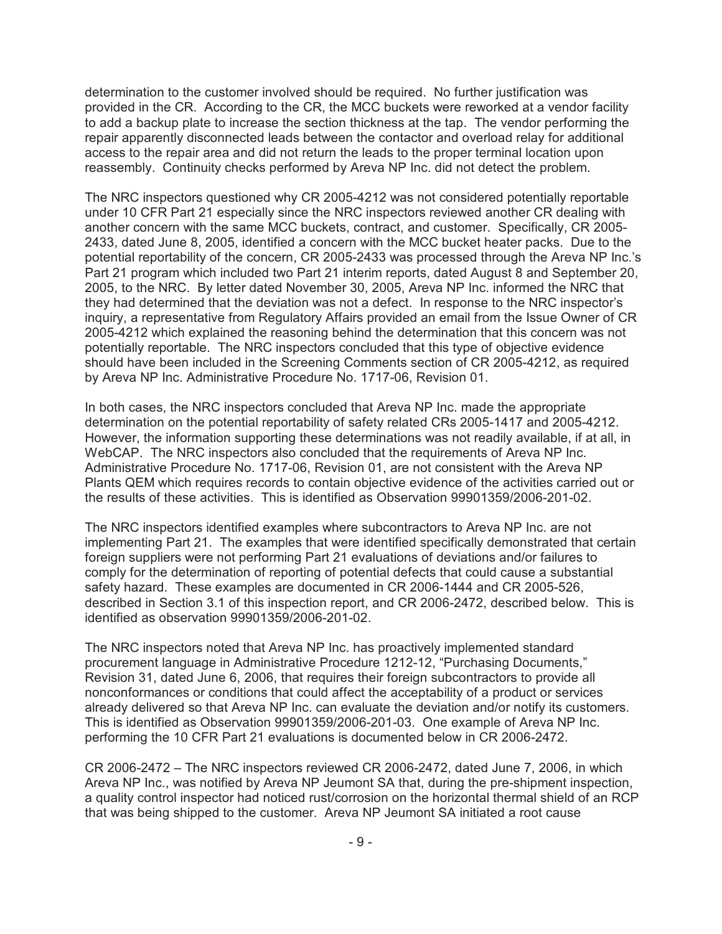determination to the customer involved should be required. No further justification was provided in the CR. According to the CR, the MCC buckets were reworked at a vendor facility to add a backup plate to increase the section thickness at the tap. The vendor performing the repair apparently disconnected leads between the contactor and overload relay for additional access to the repair area and did not return the leads to the proper terminal location upon reassembly. Continuity checks performed by Areva NP Inc. did not detect the problem.

The NRC inspectors questioned why CR 2005-4212 was not considered potentially reportable under 10 CFR Part 21 especially since the NRC inspectors reviewed another CR dealing with another concern with the same MCC buckets, contract, and customer. Specifically, CR 2005- 2433, dated June 8, 2005, identified a concern with the MCC bucket heater packs. Due to the potential reportability of the concern, CR 2005-2433 was processed through the Areva NP Inc.'s Part 21 program which included two Part 21 interim reports, dated August 8 and September 20, 2005, to the NRC. By letter dated November 30, 2005, Areva NP Inc. informed the NRC that they had determined that the deviation was not a defect. In response to the NRC inspector's inquiry, a representative from Regulatory Affairs provided an email from the Issue Owner of CR 2005-4212 which explained the reasoning behind the determination that this concern was not potentially reportable. The NRC inspectors concluded that this type of objective evidence should have been included in the Screening Comments section of CR 2005-4212, as required by Areva NP Inc. Administrative Procedure No. 1717-06, Revision 01.

In both cases, the NRC inspectors concluded that Areva NP Inc. made the appropriate determination on the potential reportability of safety related CRs 2005-1417 and 2005-4212. However, the information supporting these determinations was not readily available, if at all, in WebCAP. The NRC inspectors also concluded that the requirements of Areva NP Inc. Administrative Procedure No. 1717-06, Revision 01, are not consistent with the Areva NP Plants QEM which requires records to contain objective evidence of the activities carried out or the results of these activities. This is identified as Observation 99901359/2006-201-02.

The NRC inspectors identified examples where subcontractors to Areva NP Inc. are not implementing Part 21. The examples that were identified specifically demonstrated that certain foreign suppliers were not performing Part 21 evaluations of deviations and/or failures to comply for the determination of reporting of potential defects that could cause a substantial safety hazard. These examples are documented in CR 2006-1444 and CR 2005-526, described in Section 3.1 of this inspection report, and CR 2006-2472, described below. This is identified as observation 99901359/2006-201-02.

The NRC inspectors noted that Areva NP Inc. has proactively implemented standard procurement language in Administrative Procedure 1212-12, "Purchasing Documents," Revision 31, dated June 6, 2006, that requires their foreign subcontractors to provide all nonconformances or conditions that could affect the acceptability of a product or services already delivered so that Areva NP Inc. can evaluate the deviation and/or notify its customers. This is identified as Observation 99901359/2006-201-03. One example of Areva NP Inc. performing the 10 CFR Part 21 evaluations is documented below in CR 2006-2472.

CR 2006-2472 – The NRC inspectors reviewed CR 2006-2472, dated June 7, 2006, in which Areva NP Inc., was notified by Areva NP Jeumont SA that, during the pre-shipment inspection, a quality control inspector had noticed rust/corrosion on the horizontal thermal shield of an RCP that was being shipped to the customer. Areva NP Jeumont SA initiated a root cause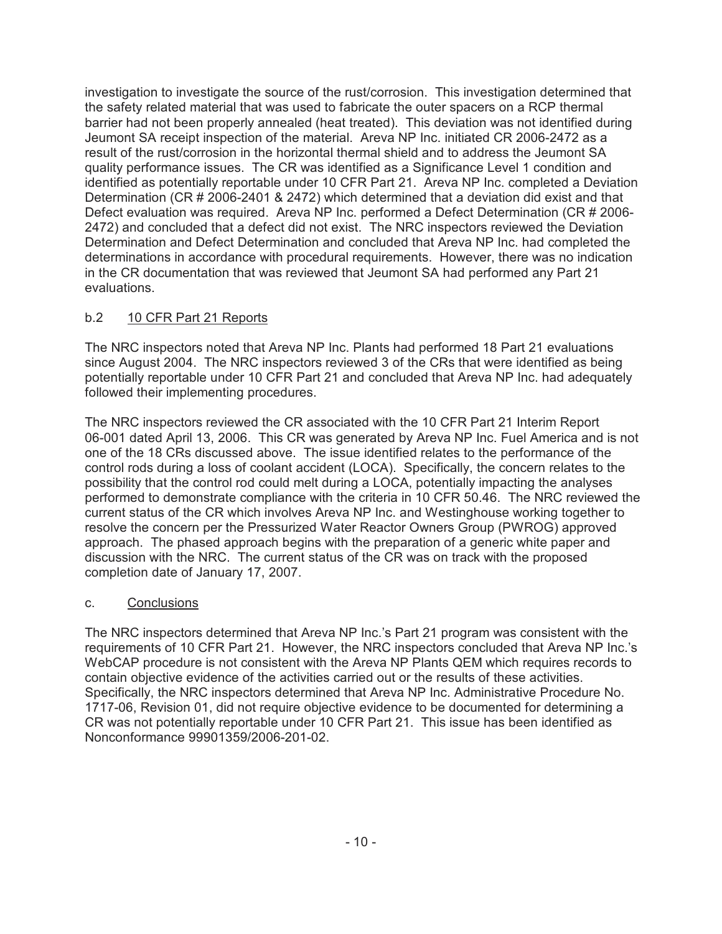investigation to investigate the source of the rust/corrosion. This investigation determined that the safety related material that was used to fabricate the outer spacers on a RCP thermal barrier had not been properly annealed (heat treated). This deviation was not identified during Jeumont SA receipt inspection of the material. Areva NP Inc. initiated CR 2006-2472 as a result of the rust/corrosion in the horizontal thermal shield and to address the Jeumont SA quality performance issues. The CR was identified as a Significance Level 1 condition and identified as potentially reportable under 10 CFR Part 21. Areva NP Inc. completed a Deviation Determination (CR # 2006-2401 & 2472) which determined that a deviation did exist and that Defect evaluation was required. Areva NP Inc. performed a Defect Determination (CR # 2006- 2472) and concluded that a defect did not exist. The NRC inspectors reviewed the Deviation Determination and Defect Determination and concluded that Areva NP Inc. had completed the determinations in accordance with procedural requirements. However, there was no indication in the CR documentation that was reviewed that Jeumont SA had performed any Part 21 evaluations.

# b.2 10 CFR Part 21 Reports

The NRC inspectors noted that Areva NP Inc. Plants had performed 18 Part 21 evaluations since August 2004. The NRC inspectors reviewed 3 of the CRs that were identified as being potentially reportable under 10 CFR Part 21 and concluded that Areva NP Inc. had adequately followed their implementing procedures.

The NRC inspectors reviewed the CR associated with the 10 CFR Part 21 Interim Report 06-001 dated April 13, 2006. This CR was generated by Areva NP Inc. Fuel America and is not one of the 18 CRs discussed above. The issue identified relates to the performance of the control rods during a loss of coolant accident (LOCA). Specifically, the concern relates to the possibility that the control rod could melt during a LOCA, potentially impacting the analyses performed to demonstrate compliance with the criteria in 10 CFR 50.46. The NRC reviewed the current status of the CR which involves Areva NP Inc. and Westinghouse working together to resolve the concern per the Pressurized Water Reactor Owners Group (PWROG) approved approach. The phased approach begins with the preparation of a generic white paper and discussion with the NRC. The current status of the CR was on track with the proposed completion date of January 17, 2007.

# c. Conclusions

The NRC inspectors determined that Areva NP Inc.'s Part 21 program was consistent with the requirements of 10 CFR Part 21. However, the NRC inspectors concluded that Areva NP Inc.'s WebCAP procedure is not consistent with the Areva NP Plants QEM which requires records to contain objective evidence of the activities carried out or the results of these activities. Specifically, the NRC inspectors determined that Areva NP Inc. Administrative Procedure No. 1717-06, Revision 01, did not require objective evidence to be documented for determining a CR was not potentially reportable under 10 CFR Part 21. This issue has been identified as Nonconformance 99901359/2006-201-02.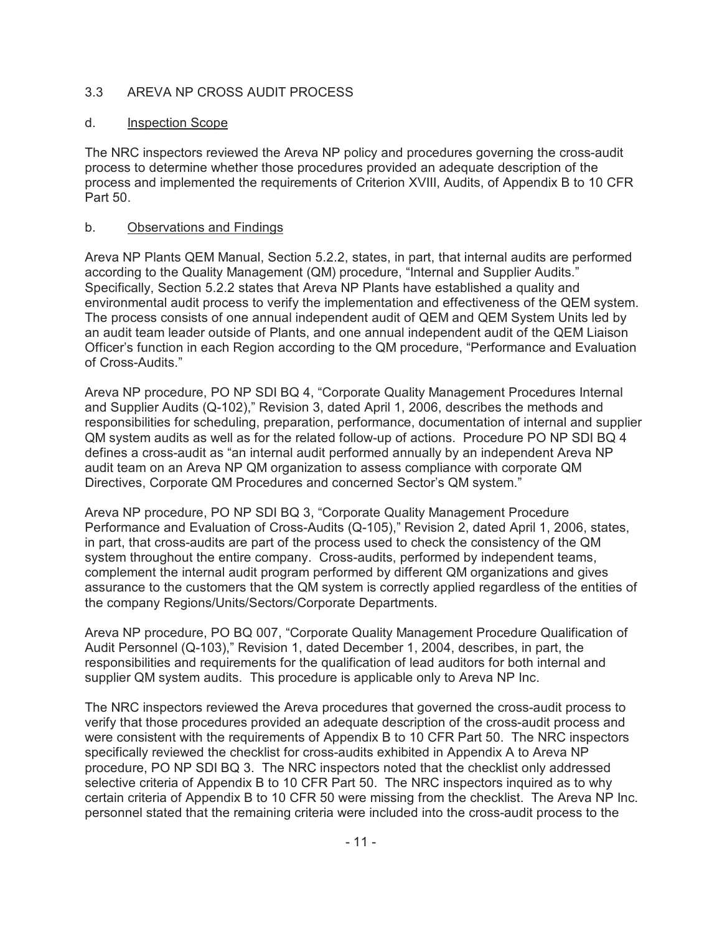### 3.3 AREVA NP CROSS AUDIT PROCESS

### d. Inspection Scope

The NRC inspectors reviewed the Areva NP policy and procedures governing the cross-audit process to determine whether those procedures provided an adequate description of the process and implemented the requirements of Criterion XVIII, Audits, of Appendix B to 10 CFR Part 50.

### b. Observations and Findings

Areva NP Plants QEM Manual, Section 5.2.2, states, in part, that internal audits are performed according to the Quality Management (QM) procedure, "Internal and Supplier Audits." Specifically, Section 5.2.2 states that Areva NP Plants have established a quality and environmental audit process to verify the implementation and effectiveness of the QEM system. The process consists of one annual independent audit of QEM and QEM System Units led by an audit team leader outside of Plants, and one annual independent audit of the QEM Liaison Officer's function in each Region according to the QM procedure, "Performance and Evaluation of Cross-Audits."

Areva NP procedure, PO NP SDI BQ 4, "Corporate Quality Management Procedures Internal and Supplier Audits (Q-102)," Revision 3, dated April 1, 2006, describes the methods and responsibilities for scheduling, preparation, performance, documentation of internal and supplier QM system audits as well as for the related follow-up of actions. Procedure PO NP SDI BQ 4 defines a cross-audit as "an internal audit performed annually by an independent Areva NP audit team on an Areva NP QM organization to assess compliance with corporate QM Directives, Corporate QM Procedures and concerned Sector's QM system."

Areva NP procedure, PO NP SDI BQ 3, "Corporate Quality Management Procedure Performance and Evaluation of Cross-Audits (Q-105)," Revision 2, dated April 1, 2006, states, in part, that cross-audits are part of the process used to check the consistency of the QM system throughout the entire company. Cross-audits, performed by independent teams, complement the internal audit program performed by different QM organizations and gives assurance to the customers that the QM system is correctly applied regardless of the entities of the company Regions/Units/Sectors/Corporate Departments.

Areva NP procedure, PO BQ 007, "Corporate Quality Management Procedure Qualification of Audit Personnel (Q-103)," Revision 1, dated December 1, 2004, describes, in part, the responsibilities and requirements for the qualification of lead auditors for both internal and supplier QM system audits. This procedure is applicable only to Areva NP Inc.

The NRC inspectors reviewed the Areva procedures that governed the cross-audit process to verify that those procedures provided an adequate description of the cross-audit process and were consistent with the requirements of Appendix B to 10 CFR Part 50. The NRC inspectors specifically reviewed the checklist for cross-audits exhibited in Appendix A to Areva NP procedure, PO NP SDI BQ 3. The NRC inspectors noted that the checklist only addressed selective criteria of Appendix B to 10 CFR Part 50. The NRC inspectors inquired as to why certain criteria of Appendix B to 10 CFR 50 were missing from the checklist. The Areva NP Inc. personnel stated that the remaining criteria were included into the cross-audit process to the